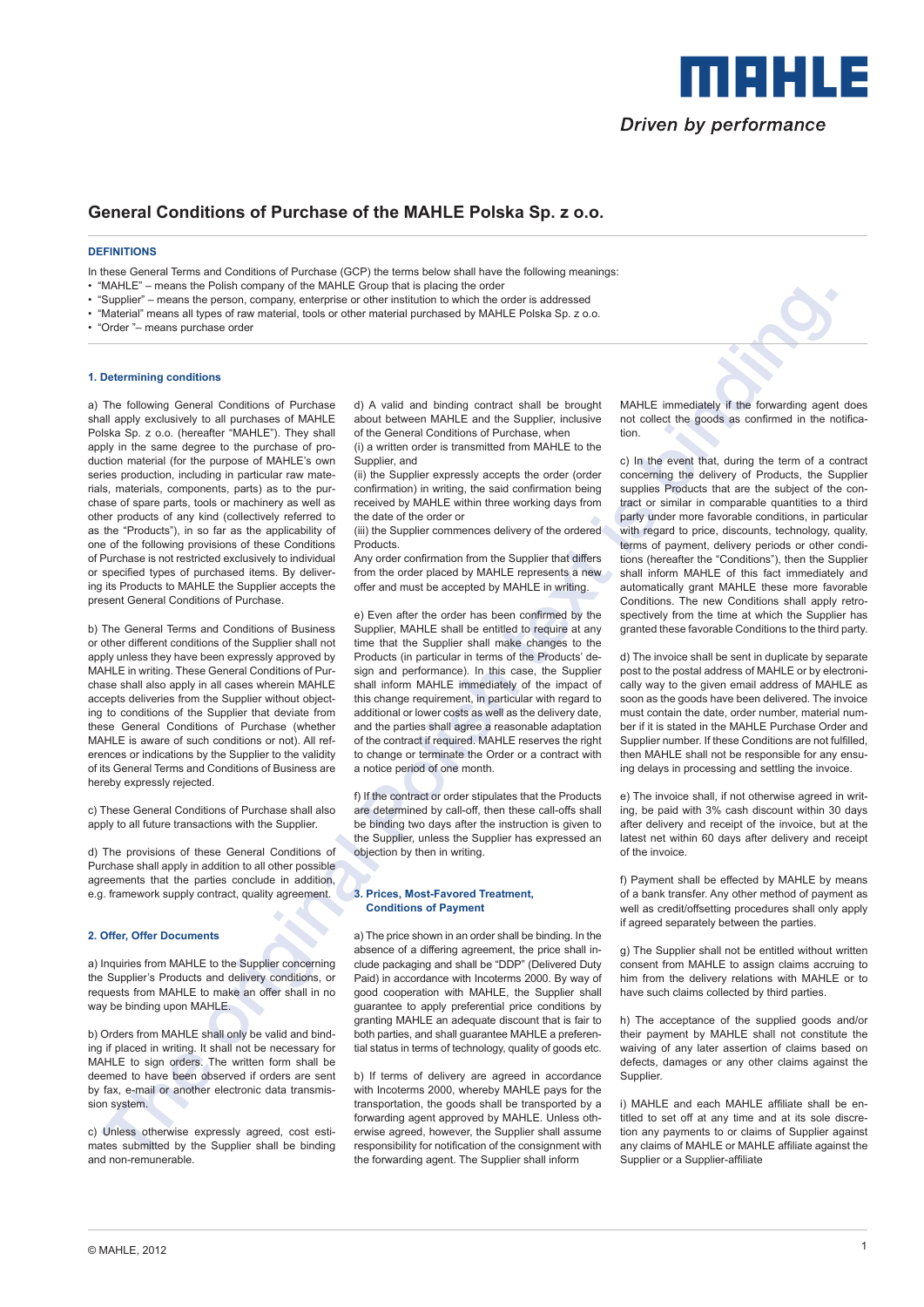

# **General Conditions of Purchase of the MAHLE Polska Sp. z o.o.**

### **DEFINITIONS**

In these General Terms and Conditions of Purchase (GCP) the terms below shall have the following meanings:

- "MAHLE" means the Polish company of the MAHLE Group that is placing the order
- "Supplier" means the person, company, enterprise or other institution to which the order is addressed
- "Material" means all types of raw material, tools or other material purchased by MAHLE Polska Sp. z o.o.
- "Order "– means purchase order

### **1. Determining conditions**

The contribution of the set of the set of the set of the set of the set of the set of the set of the set of the set of the set of the set of the set of the set of the set of the set of the set of the set of the set of the a) The following General Conditions of Purchase shall apply exclusively to all purchases of MAHLE Polska Sp. z o.o. (hereafter "MAHLE"). They shall apply in the same degree to the purchase of production material (for the purpose of MAHLE's own series production, including in particular raw materials, materials, components, parts) as to the purchase of spare parts, tools or machinery as well as other products of any kind (collectively referred to as the "Products"), in so far as the applicability of one of the following provisions of these Conditions of Purchase is not restricted exclusively to individual or specified types of purchased items. By delivering its Products to MAHLE the Supplier accepts the present General Conditions of Purchase.

b) The General Terms and Conditions of Business or other different conditions of the Supplier shall not apply unless they have been expressly approved by MAHLE in writing. These General Conditions of Purchase shall also apply in all cases wherein MAHLE accepts deliveries from the Supplier without objecting to conditions of the Supplier that deviate from these General Conditions of Purchase (whether MAHLE is aware of such conditions or not). All references or indications by the Supplier to the validity of its General Terms and Conditions of Business are hereby expressly rejected.

c) These General Conditions of Purchase shall also apply to all future transactions with the Supplier.

d) The provisions of these General Conditions of Purchase shall apply in addition to all other possible agreements that the parties conclude in addition, e.g. framework supply contract, quality agreement.

### **2. Offer, Offer Documents**

a) Inquiries from MAHLE to the Supplier concerning the Supplier's Products and delivery conditions, or requests from MAHLE to make an offer shall in no way be binding upon MAHLE.

b) Orders from MAHLE shall only be valid and binding if placed in writing. It shall not be necessary for MAHLE to sign orders. The written form shall be deemed to have been observed if orders are sent by fax, e-mail or another electronic data transmission system.

c) Unless otherwise expressly agreed, cost estimates submitted by the Supplier shall be binding and non-remunerable.

d) A valid and binding contract shall be brought about between MAHLE and the Supplier, inclusive of the General Conditions of Purchase, when

(i) a written order is transmitted from MAHLE to the Supplier, and

(ii) the Supplier expressly accepts the order (order confirmation) in writing, the said confirmation being received by MAHLE within three working days from the date of the order or

(iii) the Supplier commences delivery of the ordered **Products** 

Any order confirmation from the Supplier that differs from the order placed by MAHLE represents a new offer and must be accepted by MAHLE in writing.

e) Even after the order has been confirmed by the Supplier, MAHLE shall be entitled to require at any time that the Supplier shall make changes to the Products (in particular in terms of the Products' design and performance). In this case, the Supplier shall inform MAHLE immediately of the impact of this change requirement, in particular with regard to additional or lower costs as well as the delivery date, and the parties shall agree a reasonable adaptation of the contract if required. MAHLE reserves the right to change or terminate the Order or a contract with a notice period of one month.

f) If the contract or order stipulates that the Products are determined by call-off, then these call-offs shall be binding two days after the instruction is given to the Supplier, unless the Supplier has expressed an objection by then in writing.

### **3. Prices, Most-Favored Treatment, Conditions of Payment**

a) The price shown in an order shall be binding. In the absence of a differing agreement, the price shall include packaging and shall be "DDP" (Delivered Duty Paid) in accordance with Incoterms 2000. By way of good cooperation with MAHLE, the Supplier shall guarantee to apply preferential price conditions by granting MAHLE an adequate discount that is fair to both parties, and shall guarantee MAHLE a preferential status in terms of technology, quality of goods etc.

b) If terms of delivery are agreed in accordance with Incoterms 2000, whereby MAHLE pays for the transportation, the goods shall be transported by a forwarding agent approved by MAHLE. Unless otherwise agreed, however, the Supplier shall assume responsibility for notification of the consignment with the forwarding agent. The Supplier shall inform

MAHLE immediately if the forwarding agent does not collect the goods as confirmed in the notification.

c) In the event that, during the term of a contract concerning the delivery of Products, the Supplier supplies Products that are the subject of the contract or similar in comparable quantities to a third party under more favorable conditions, in particular with regard to price, discounts, technology, quality, terms of payment, delivery periods or other conditions (hereafter the "Conditions"), then the Supplier shall inform MAHLE of this fact immediately and automatically grant MAHLE these more favorable Conditions. The new Conditions shall apply retrospectively from the time at which the Supplier has granted these favorable Conditions to the third party.

d) The invoice shall be sent in duplicate by separate post to the postal address of MAHLE or by electronically way to the given email address of MAHLE as soon as the goods have been delivered. The invoice must contain the date, order number, material number if it is stated in the MAHLE Purchase Order and Supplier number. If these Conditions are not fulfilled, then MAHLE shall not be responsible for any ensuing delays in processing and settling the invoice.

e) The invoice shall, if not otherwise agreed in writing, be paid with 3% cash discount within 30 days after delivery and receipt of the invoice, but at the latest net within 60 days after delivery and receipt of the invoice.

f) Payment shall be effected by MAHLE by means of a bank transfer. Any other method of payment as well as credit/offsetting procedures shall only apply if agreed separately between the parties.

g) The Supplier shall not be entitled without written consent from MAHLE to assign claims accruing to him from the delivery relations with MAHLE or to have such claims collected by third parties.

h) The acceptance of the supplied goods and/or their payment by MAHLE shall not constitute the waiving of any later assertion of claims based on defects, damages or any other claims against the Supplier.

i) MAHLE and each MAHLE affiliate shall be entitled to set off at any time and at its sole discretion any payments to or claims of Supplier against any claims of MAHLE or MAHLE affiliate against the Supplier or a Supplier-affiliate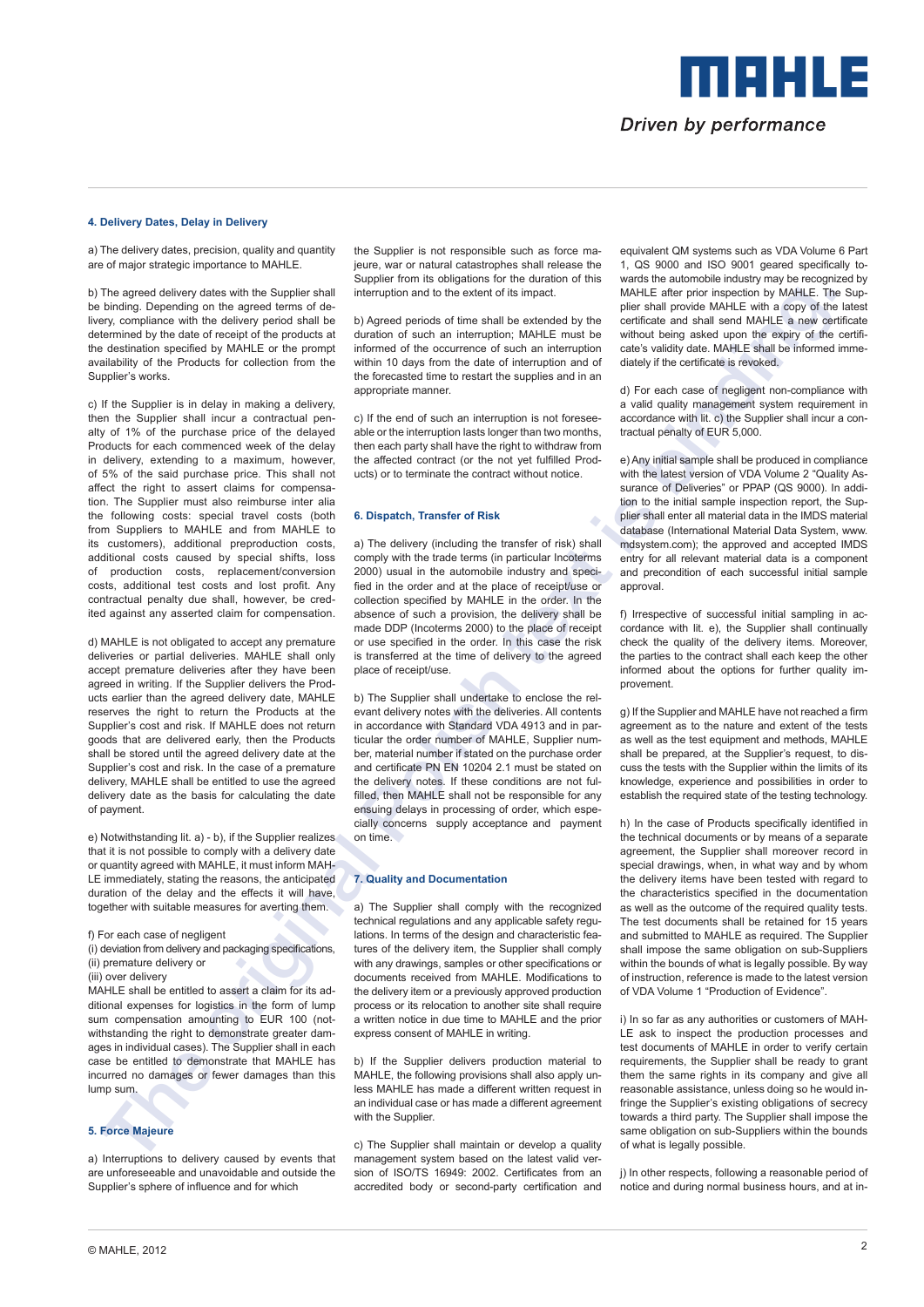MENLE Driven by performance

### **4. Delivery Dates, Delay in Delivery**

a) The delivery dates, precision, quality and quantity are of major strategic importance to MAHLE.

b) The agreed delivery dates with the Supplier shall be binding. Depending on the agreed terms of delivery, compliance with the delivery period shall be determined by the date of receipt of the products at the destination specified by MAHLE or the prompt availability of the Products for collection from the Supplier's works.

The appearance was not the second was also the second was also the second was also the second was also the second was also the second was also the second was also the second was also the second was also the second was als c) If the Supplier is in delay in making a delivery, then the Supplier shall incur a contractual penalty of 1% of the purchase price of the delayed Products for each commenced week of the delay in delivery, extending to a maximum, however, of 5% of the said purchase price. This shall not affect the right to assert claims for compensation. The Supplier must also reimburse inter alia the following costs: special travel costs (both from Suppliers to MAHLE and from MAHLE to its customers), additional preproduction costs, additional costs caused by special shifts, loss of production costs, replacement/conversion costs, additional test costs and lost profit. Any contractual penalty due shall, however, be credited against any asserted claim for compensation.

d) MAHLE is not obligated to accept any premature deliveries or partial deliveries. MAHLE shall only accept premature deliveries after they have been agreed in writing. If the Supplier delivers the Products earlier than the agreed delivery date, MAHLE reserves the right to return the Products at the Supplier's cost and risk. If MAHLE does not return goods that are delivered early, then the Products shall be stored until the agreed delivery date at the Supplier's cost and risk. In the case of a premature delivery, MAHLE shall be entitled to use the agreed delivery date as the basis for calculating the date of payment.

e) Notwithstanding lit. a) - b), if the Supplier realizes that it is not possible to comply with a delivery date or quantity agreed with MAHLE, it must inform MAH-LE immediately, stating the reasons, the anticipated duration of the delay and the effects it will have, together with suitable measures for averting them.

### f) For each case of negligent

(i) deviation from delivery and packaging specifications, (ii) premature delivery or

(iii) over delivery

MAHLE shall be entitled to assert a claim for its additional expenses for logistics in the form of lump sum compensation amounting to EUR 100 (notwithstanding the right to demonstrate greater damages in individual cases). The Supplier shall in each case be entitled to demonstrate that MAHLE has incurred no damages or fewer damages than this lump sum.

# **5. Force Majeure**

a) Interruptions to delivery caused by events that are unforeseeable and unavoidable and outside the Supplier's sphere of influence and for which

the Supplier is not responsible such as force majeure, war or natural catastrophes shall release the Supplier from its obligations for the duration of this interruption and to the extent of its impact.

b) Agreed periods of time shall be extended by the duration of such an interruption; MAHLE must be informed of the occurrence of such an interruption within 10 days from the date of interruption and of the forecasted time to restart the supplies and in an appropriate manner.

c) If the end of such an interruption is not foreseeable or the interruption lasts longer than two months, then each party shall have the right to withdraw from the affected contract (or the not yet fulfilled Products) or to terminate the contract without notice.

### **6. Dispatch, Transfer of Risk**

a) The delivery (including the transfer of risk) shall comply with the trade terms (in particular Incoterms 2000) usual in the automobile industry and specified in the order and at the place of receipt/use or collection specified by MAHLE in the order. In the absence of such a provision, the delivery shall be made DDP (Incoterms 2000) to the place of receipt or use specified in the order. In this case the risk is transferred at the time of delivery to the agreed place of receipt/use.

b) The Supplier shall undertake to enclose the relevant delivery notes with the deliveries. All contents in accordance with Standard VDA 4913 and in particular the order number of MAHLE, Supplier number, material number if stated on the purchase order and certificate PN EN 10204 2.1 must be stated on the delivery notes. If these conditions are not fulfilled, then MAHLE shall not be responsible for any ensuing delays in processing of order, which especially concerns supply acceptance and payment on time.

### **7. Quality and Documentation**

a) The Supplier shall comply with the recognized technical regulations and any applicable safety regulations. In terms of the design and characteristic features of the delivery item, the Supplier shall comply with any drawings, samples or other specifications or documents received from MAHLE. Modifications to the delivery item or a previously approved production process or its relocation to another site shall require a written notice in due time to MAHLE and the prior express consent of MAHLE in writing.

b) If the Supplier delivers production material to MAHLE, the following provisions shall also apply unless MAHLE has made a different written request in an individual case or has made a different agreement with the Supplier.

c) The Supplier shall maintain or develop a quality management system based on the latest valid version of ISO/TS 16949: 2002. Certificates from an accredited body or second-party certification and

equivalent QM systems such as VDA Volume 6 Part 1, QS 9000 and ISO 9001 geared specifically towards the automobile industry may be recognized by MAHLE after prior inspection by MAHLE. The Supplier shall provide MAHLE with a copy of the latest certificate and shall send MAHLE a new certificate without being asked upon the expiry of the certificate's validity date. MAHLE shall be informed immediately if the certificate is revoked.

d) For each case of negligent non-compliance with a valid quality management system requirement in accordance with lit. c) the Supplier shall incur a contractual penalty of EUR 5,000.

e) Any initial sample shall be produced in compliance with the latest version of VDA Volume 2 "Quality Assurance of Deliveries" or PPAP (QS 9000). In addition to the initial sample inspection report, the Supplier shall enter all material data in the IMDS material database (International Material Data System, www. mdsystem.com); the approved and accepted IMDS entry for all relevant material data is a component and precondition of each successful initial sample approval.

f) Irrespective of successful initial sampling in accordance with lit. e), the Supplier shall continually check the quality of the delivery items. Moreover, the parties to the contract shall each keep the other informed about the options for further quality improvement.

g) If the Supplier and MAHLE have not reached a firm agreement as to the nature and extent of the tests as well as the test equipment and methods, MAHLE shall be prepared, at the Supplier's request, to discuss the tests with the Supplier within the limits of its knowledge, experience and possibilities in order to establish the required state of the testing technology.

h) In the case of Products specifically identified in the technical documents or by means of a separate agreement, the Supplier shall moreover record in special drawings, when, in what way and by whom the delivery items have been tested with regard to the characteristics specified in the documentation as well as the outcome of the required quality tests. The test documents shall be retained for 15 years and submitted to MAHLE as required. The Supplier shall impose the same obligation on sub-Suppliers within the bounds of what is legally possible. By way of instruction, reference is made to the latest version of VDA Volume 1 "Production of Evidence".

i) In so far as any authorities or customers of MAH-LE ask to inspect the production processes and test documents of MAHLE in order to verify certain requirements, the Supplier shall be ready to grant them the same rights in its company and give all reasonable assistance, unless doing so he would infringe the Supplier's existing obligations of secrecy towards a third party. The Supplier shall impose the same obligation on sub-Suppliers within the bounds of what is legally possible.

i) In other respects, following a reasonable period of notice and during normal business hours, and at in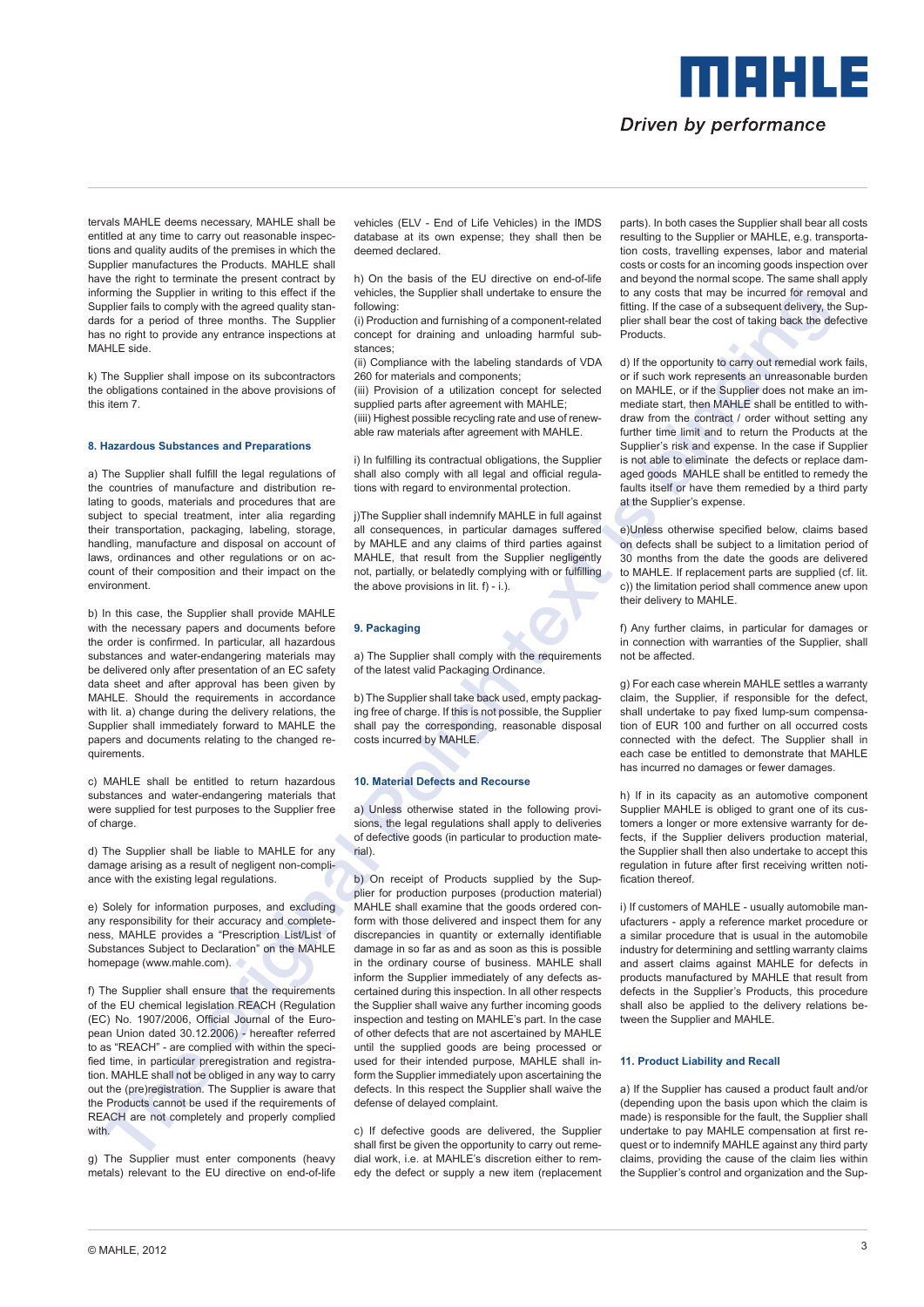tervals MAHLE deems necessary, MAHLE shall be entitled at any time to carry out reasonable inspections and quality audits of the premises in which the Supplier manufactures the Products. MAHLE shall have the right to terminate the present contract by informing the Supplier in writing to this effect if the Supplier fails to comply with the agreed quality standards for a period of three months. The Supplier has no right to provide any entrance inspections at MAHLE side.

k) The Supplier shall impose on its subcontractors the obligations contained in the above provisions of this item 7.

### **8. Hazardous Substances and Preparations**

a) The Supplier shall fulfill the legal regulations of the countries of manufacture and distribution relating to goods, materials and procedures that are subject to special treatment, inter alia regarding their transportation, packaging, labeling, storage, handling, manufacture and disposal on account of laws, ordinances and other regulations or on account of their composition and their impact on the environment.

b) In this case, the Supplier shall provide MAHLE with the necessary papers and documents before the order is confirmed. In particular, all hazardous substances and water-endangering materials may be delivered only after presentation of an EC safety data sheet and after approval has been given by MAHLE. Should the requirements in accordance with lit. a) change during the delivery relations, the Supplier shall immediately forward to MAHLE the papers and documents relating to the changed requirements.

c) MAHLE shall be entitled to return hazardous substances and water-endangering materials that were supplied for test purposes to the Supplier free of charge.

d) The Supplier shall be liable to MAHLE for any damage arising as a result of negligent non-compliance with the existing legal regulations.

e) Solely for information purposes, and excluding any responsibility for their accuracy and completeness, MAHLE provides a "Prescription List/List of Substances Subject to Declaration" on the MAHLE homepage (www.mahle.com).

f) The Supplier shall ensure that the requirements of the EU chemical legislation REACH (Regulation (EC) No. 1907/2006, Official Journal of the European Union dated 30.12.2006) - hereafter referred to as "REACH" - are complied with within the specified time, in particular preregistration and registration. MAHLE shall not be obliged in any way to carry out the (pre)registration. The Supplier is aware that the Products cannot be used if the requirements of REACH are not completely and properly complied with.

g) The Supplier must enter components (heavy metals) relevant to the EU directive on end-of-life vehicles (ELV - End of Life Vehicles) in the IMDS database at its own expense; they shall then be deemed declared.

h) On the basis of the EU directive on end-of-life vehicles, the Supplier shall undertake to ensure the following:

(i) Production and furnishing of a component-related concept for draining and unloading harmful substances;

(ii) Compliance with the labeling standards of VDA 260 for materials and components;

(iii) Provision of a utilization concept for selected supplied parts after agreement with MAHLE;

(iiii) Highest possible recycling rate and use of renewable raw materials after agreement with MAHLE.

i) In fulfilling its contractual obligations, the Supplier shall also comply with all legal and official regulations with regard to environmental protection.

j)The Supplier shall indemnify MAHLE in full against all consequences, in particular damages suffered by MAHLE and any claims of third parties against MAHLE, that result from the Supplier negligently not, partially, or belatedly complying with or fulfilling the above provisions in lit.  $f$ ) - i.).

### **9. Packaging**

a) The Supplier shall comply with the requirements of the latest valid Packaging Ordinance.

b) The Supplier shall take back used, empty packaging free of charge. If this is not possible, the Supplier shall pay the corresponding, reasonable disposal costs incurred by MAHLE.

# **10. Material Defects and Recourse**

a) Unless otherwise stated in the following provisions, the legal regulations shall apply to deliveries of defective goods (in particular to production material).

The based in particular states in the second interaction in the second interaction in the second interaction in the second interaction in the second interaction in the second interaction in the second interaction in the s b) On receipt of Products supplied by the Supplier for production purposes (production material) MAHLE shall examine that the goods ordered conform with those delivered and inspect them for any discrepancies in quantity or externally identifiable damage in so far as and as soon as this is possible in the ordinary course of business. MAHLE shall inform the Supplier immediately of any defects ascertained during this inspection. In all other respects the Supplier shall waive any further incoming goods inspection and testing on MAHLE's part. In the case of other defects that are not ascertained by MAHLE until the supplied goods are being processed or used for their intended purpose, MAHLE shall inform the Supplier immediately upon ascertaining the defects. In this respect the Supplier shall waive the defense of delayed complaint.

c) If defective goods are delivered, the Supplier shall first be given the opportunity to carry out remedial work, i.e. at MAHLE's discretion either to remedy the defect or supply a new item (replacement parts). In both cases the Supplier shall bear all costs resulting to the Supplier or MAHLE, e.g. transportation costs, travelling expenses, labor and material costs or costs for an incoming goods inspection over and beyond the normal scope. The same shall apply to any costs that may be incurred for removal and fitting. If the case of a subsequent delivery, the Supplier shall bear the cost of taking back the defective Products.

Driven by performance

MAHLE

d) If the opportunity to carry out remedial work fails, or if such work represents an unreasonable burden on MAHLE, or if the Supplier does not make an immediate start, then MAHLE shall be entitled to withdraw from the contract / order without setting any further time limit and to return the Products at the Supplier's risk and expense. In the case if Supplier is not able to eliminate the defects or replace damaged goods MAHLE shall be entitled to remedy the faults itself or have them remedied by a third party at the Supplier's expense.

e)Unless otherwise specified below, claims based on defects shall be subject to a limitation period of 30 months from the date the goods are delivered to MAHLE. If replacement parts are supplied (cf. lit. c)) the limitation period shall commence anew upon their delivery to MAHLE.

f) Any further claims, in particular for damages or in connection with warranties of the Supplier, shall not be affected.

g) For each case wherein MAHLE settles a warranty claim, the Supplier, if responsible for the defect, shall undertake to pay fixed lump-sum compensation of EUR 100 and further on all occurred costs connected with the defect. The Supplier shall in each case be entitled to demonstrate that MAHLE has incurred no damages or fewer damages.

h) If in its capacity as an automotive component Supplier MAHLE is obliged to grant one of its customers a longer or more extensive warranty for defects, if the Supplier delivers production material, the Supplier shall then also undertake to accept this regulation in future after first receiving written notification thereof

i) If customers of MAHLE - usually automobile manufacturers - apply a reference market procedure or a similar procedure that is usual in the automobile industry for determining and settling warranty claims and assert claims against MAHLE for defects in products manufactured by MAHLE that result from defects in the Supplier's Products, this procedure shall also be applied to the delivery relations between the Supplier and MAHLE.

### **11. Product Liability and Recall**

a) If the Supplier has caused a product fault and/or (depending upon the basis upon which the claim is made) is responsible for the fault, the Supplier shall undertake to pay MAHLE compensation at first request or to indemnify MAHLE against any third party claims, providing the cause of the claim lies within the Supplier's control and organization and the Sup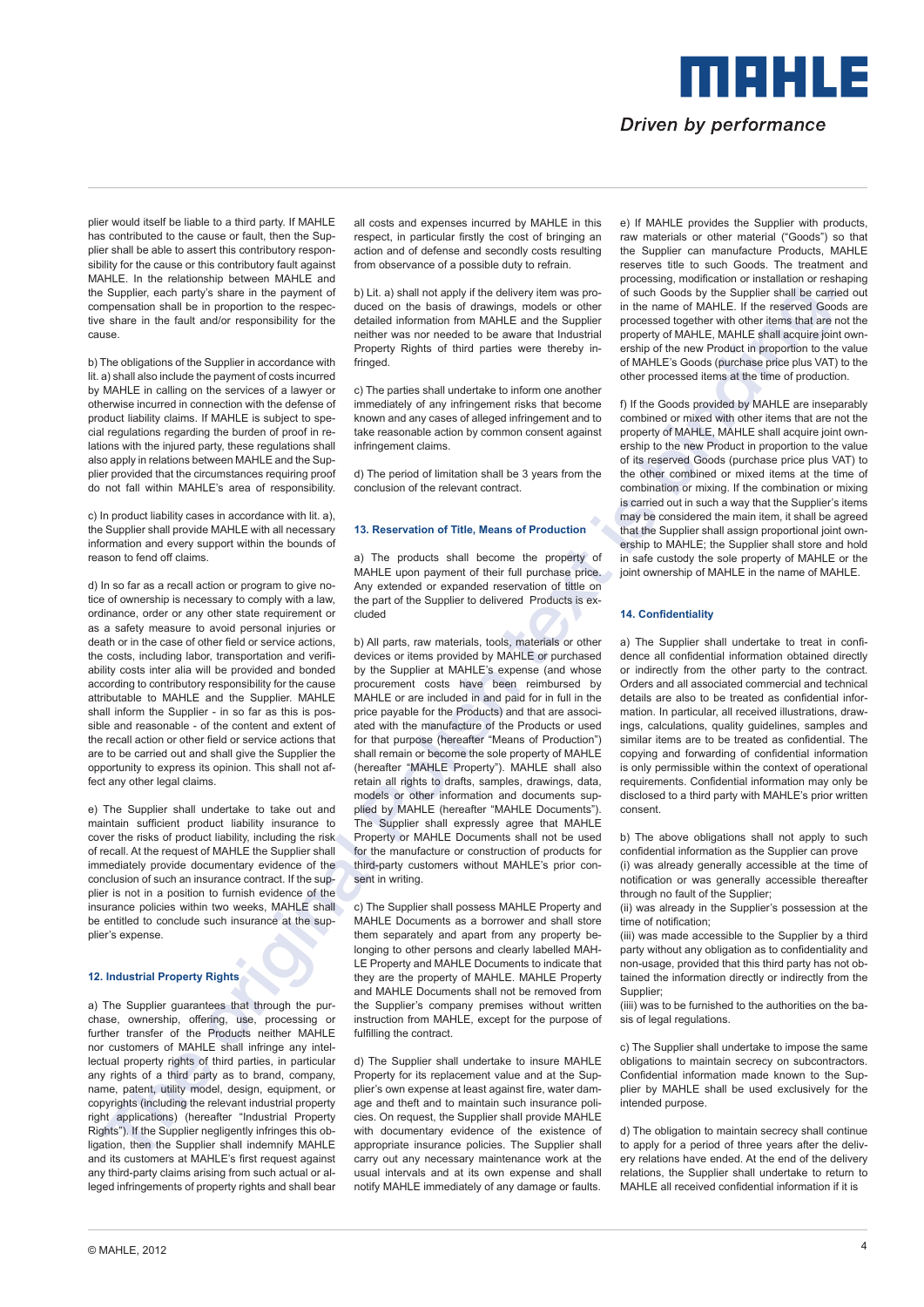plier would itself be liable to a third party. If MAHLE has contributed to the cause or fault, then the Supplier shall be able to assert this contributory responsibility for the cause or this contributory fault against MAHLE. In the relationship between MAHLE and the Supplier, each party's share in the payment of compensation shall be in proportion to the respective share in the fault and/or responsibility for the cause.

b) The obligations of the Supplier in accordance with lit. a) shall also include the payment of costs incurred by MAHLE in calling on the services of a lawyer or otherwise incurred in connection with the defense of product liability claims. If MAHLE is subject to special regulations regarding the burden of proof in relations with the injured party, these regulations shall also apply in relations between MAHLE and the Supplier provided that the circumstances requiring proof do not fall within MAHLE's area of responsibility.

c) In product liability cases in accordance with lit. a), the Supplier shall provide MAHLE with all necessary information and every support within the bounds of reason to fend off claims.

d) In so far as a recall action or program to give notice of ownership is necessary to comply with a law, ordinance, order or any other state requirement or as a safety measure to avoid personal injuries or death or in the case of other field or service actions, the costs, including labor, transportation and verifiability costs inter alia will be provided and bonded according to contributory responsibility for the cause attributable to MAHLE and the Supplier. MAHLE shall inform the Supplier - in so far as this is possible and reasonable - of the content and extent of the recall action or other field or service actions that are to be carried out and shall give the Supplier the opportunity to express its opinion. This shall not affect any other legal claims.

e) The Supplier shall undertake to take out and maintain sufficient product liability insurance to cover the risks of product liability, including the risk of recall. At the request of MAHLE the Supplier shall immediately provide documentary evidence of the conclusion of such an insurance contract. If the supplier is not in a position to furnish evidence of the insurance policies within two weeks, MAHLE shall be entitled to conclude such insurance at the supplier's expense.

## **12. Industrial Property Rights**

a) The Supplier guarantees that through the purchase, ownership, offering, use, processing or further transfer of the Products neither MAHLE nor customers of MAHLE shall infringe any intellectual property rights of third parties, in particular any rights of a third party as to brand, company, name, patent, utility model, design, equipment, or copyrights (including the relevant industrial property right applications) (hereafter "Industrial Property Rights"). If the Supplier negligently infringes this obligation, then the Supplier shall indemnify MAHLE and its customers at MAHLE's first request against any third-party claims arising from such actual or alleged infringements of property rights and shall bear all costs and expenses incurred by MAHLE in this respect, in particular firstly the cost of bringing an action and of defense and secondly costs resulting from observance of a possible duty to refrain.

b) Lit. a) shall not apply if the delivery item was produced on the basis of drawings, models or other detailed information from MAHLE and the Supplier neither was nor needed to be aware that Industrial Property Rights of third parties were thereby infringed.

c) The parties shall undertake to inform one another immediately of any infringement risks that become known and any cases of alleged infringement and to take reasonable action by common consent against infringement claims.

d) The period of limitation shall be 3 years from the conclusion of the relevant contract.

### **13. Reservation of Title, Means of Production**

a) The products shall become the property of MAHLE upon payment of their full purchase price. Any extended or expanded reservation of tittle on the part of the Supplier to delivered Products is excluded

Suppose that has not a straight also the suppose that is a straight also the suppose that is a straight also the suppose that is a straight also the suppose that is a straight also the suppose that is a straight also the b) All parts, raw materials, tools, materials or other devices or items provided by MAHLE or purchased by the Supplier at MAHLE's expense (and whose procurement costs have been reimbursed by MAHLE or are included in and paid for in full in the price payable for the Products) and that are associated with the manufacture of the Products or used for that purpose (hereafter "Means of Production") shall remain or become the sole property of MAHLE (hereafter "MAHLE Property"). MAHLE shall also retain all rights to drafts, samples, drawings, data, models or other information and documents supplied by MAHLE (hereafter "MAHLE Documents"). The Supplier shall expressly agree that MAHLE Property or MAHLE Documents shall not be used for the manufacture or construction of products for third-party customers without MAHLE's prior consent in writing.

c) The Supplier shall possess MAHLE Property and MAHLE Documents as a borrower and shall store them separately and apart from any property belonging to other persons and clearly labelled MAH-LE Property and MAHLE Documents to indicate that they are the property of MAHLE. MAHLE Property and MAHLE Documents shall not be removed from the Supplier's company premises without written instruction from MAHLE, except for the purpose of fulfilling the contract.

d) The Supplier shall undertake to insure MAHLE Property for its replacement value and at the Supplier's own expense at least against fire, water damage and theft and to maintain such insurance policies. On request, the Supplier shall provide MAHLE with documentary evidence of the existence of appropriate insurance policies. The Supplier shall carry out any necessary maintenance work at the usual intervals and at its own expense and shall notify MAHLE immediately of any damage or faults.

e) If MAHLE provides the Supplier with products, raw materials or other material ("Goods") so that the Supplier can manufacture Products, MAHLE reserves title to such Goods. The treatment and processing, modification or installation or reshaping of such Goods by the Supplier shall be carried out in the name of MAHLE. If the reserved Goods are processed together with other items that are not the property of MAHLE, MAHLE shall acquire joint ownership of the new Product in proportion to the value of MAHLE's Goods (purchase price plus VAT) to the other processed items at the time of production.

Driven by performance

MAHLE

f) If the Goods provided by MAHLE are inseparably combined or mixed with other items that are not the property of MAHLE, MAHLE shall acquire joint ownership to the new Product in proportion to the value of its reserved Goods (purchase price plus VAT) to the other combined or mixed items at the time of combination or mixing. If the combination or mixing is carried out in such a way that the Supplier's items may be considered the main item, it shall be agreed that the Supplier shall assign proportional joint ownership to MAHLE; the Supplier shall store and hold in safe custody the sole property of MAHLE or the joint ownership of MAHLE in the name of MAHLE.

### **14. Confidentiality**

a) The Supplier shall undertake to treat in confidence all confidential information obtained directly or indirectly from the other party to the contract. Orders and all associated commercial and technical details are also to be treated as confidential information. In particular, all received illustrations, drawings, calculations, quality guidelines, samples and similar items are to be treated as confidential. The copying and forwarding of confidential information is only permissible within the context of operational requirements. Confidential information may only be disclosed to a third party with MAHLE's prior written consent.

b) The above obligations shall not apply to such confidential information as the Supplier can prove

(i) was already generally accessible at the time of notification or was generally accessible thereafter through no fault of the Supplier;

(ii) was already in the Supplier's possession at the time of notification;

(iii) was made accessible to the Supplier by a third party without any obligation as to confidentiality and non-usage, provided that this third party has not obtained the information directly or indirectly from the Supplier;

(iiii) was to be furnished to the authorities on the basis of legal regulations.

c) The Supplier shall undertake to impose the same obligations to maintain secrecy on subcontractors. Confidential information made known to the Supplier by MAHLE shall be used exclusively for the intended purpose.

d) The obligation to maintain secrecy shall continue to apply for a period of three years after the delivery relations have ended. At the end of the delivery relations, the Supplier shall undertake to return to MAHLE all received confidential information if it is